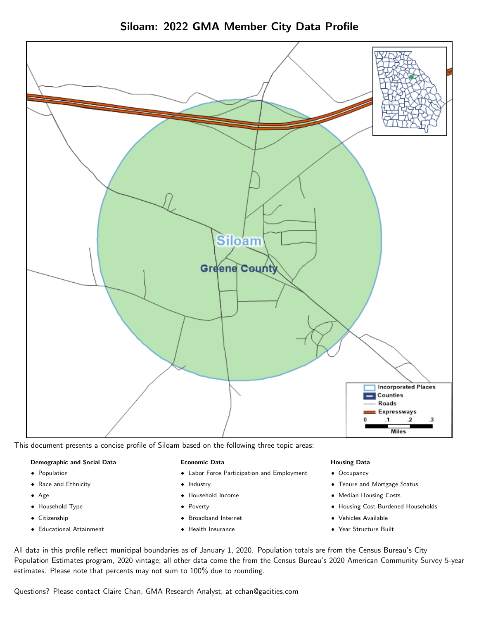

Siloam: 2022 GMA Member City Data Profile

This document presents a concise profile of Siloam based on the following three topic areas:

## Demographic and Social Data

- **•** Population
- Race and Ethnicity
- Age
- Household Type
- **Citizenship**
- Educational Attainment

### Economic Data

- Labor Force Participation and Employment
- Industry
- Household Income
- Poverty
- Broadband Internet
- Health Insurance

### Housing Data

- Occupancy
- Tenure and Mortgage Status
- Median Housing Costs
- Housing Cost-Burdened Households
- Vehicles Available
- Year Structure Built

All data in this profile reflect municipal boundaries as of January 1, 2020. Population totals are from the Census Bureau's City Population Estimates program, 2020 vintage; all other data come the from the Census Bureau's 2020 American Community Survey 5-year estimates. Please note that percents may not sum to 100% due to rounding.

Questions? Please contact Claire Chan, GMA Research Analyst, at [cchan@gacities.com.](mailto:cchan@gacities.com)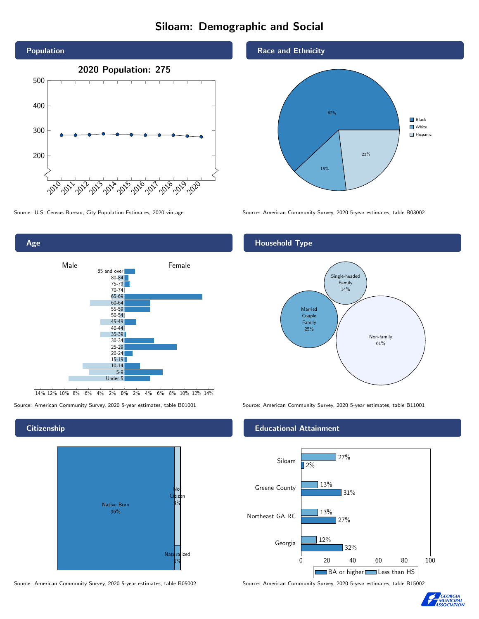# Siloam: Demographic and Social





0% 2% 4% 6% 8% 10% 12% 14% 14% 12% 10% 8% 6% 4% 2%

## **Citizenship**



Source: American Community Survey, 2020 5-year estimates, table B05002 Source: American Community Survey, 2020 5-year estimates, table B15002

### Race and Ethnicity



Source: U.S. Census Bureau, City Population Estimates, 2020 vintage Source: American Community Survey, 2020 5-year estimates, table B03002

## Household Type



Source: American Community Survey, 2020 5-year estimates, table B01001 Source: American Community Survey, 2020 5-year estimates, table B11001

### Educational Attainment



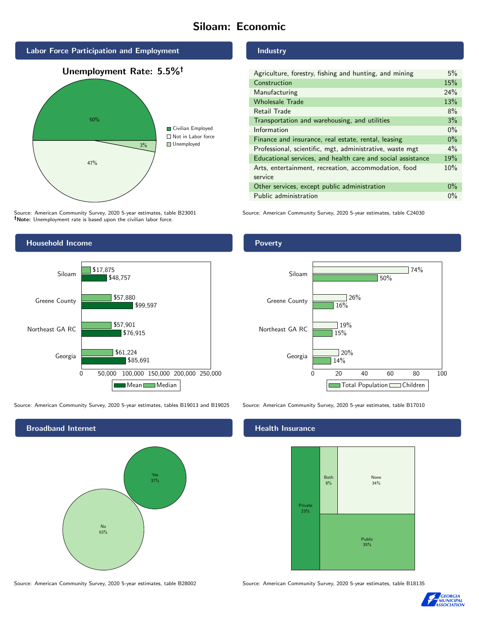# Siloam: Economic



Source: American Community Survey, 2020 5-year estimates, table B23001 Note: Unemployment rate is based upon the civilian labor force.

## Industry

| Agriculture, forestry, fishing and hunting, and mining      | 5%    |
|-------------------------------------------------------------|-------|
| Construction                                                | 15%   |
| Manufacturing                                               | 24%   |
| <b>Wholesale Trade</b>                                      | 13%   |
| Retail Trade                                                | 8%    |
| Transportation and warehousing, and utilities               | 3%    |
| Information                                                 | $0\%$ |
| Finance and insurance, real estate, rental, leasing         | $0\%$ |
| Professional, scientific, mgt, administrative, waste mgt    | $4\%$ |
| Educational services, and health care and social assistance | 19%   |
| Arts, entertainment, recreation, accommodation, food        | 10%   |
| service                                                     |       |
| Other services, except public administration                | $0\%$ |
| Public administration                                       | $0\%$ |

Source: American Community Survey, 2020 5-year estimates, table C24030



Source: American Community Survey, 2020 5-year estimates, tables B19013 and B19025 Source: American Community Survey, 2020 5-year estimates, table B17010



Poverty



## **Health Insurance**



Source: American Community Survey, 2020 5-year estimates, table B28002 Source: American Community Survey, 2020 5-year estimates, table B18135